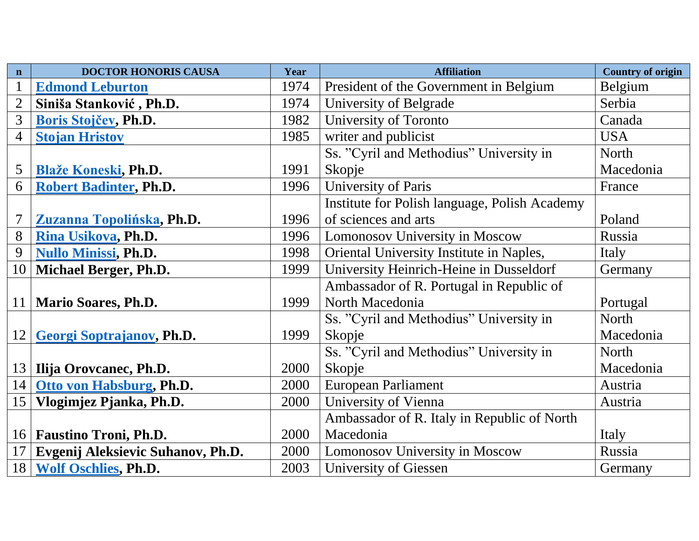| $\mathbf n$     | <b>DOCTOR HONORIS CAUSA</b>       | Year | <b>Affiliation</b>                            | <b>Country of origin</b> |
|-----------------|-----------------------------------|------|-----------------------------------------------|--------------------------|
| $\mathbf{1}$    | <b>Edmond Leburton</b>            | 1974 | President of the Government in Belgium        | Belgium                  |
| $\overline{2}$  | Siniša Stanković, Ph.D.           | 1974 | University of Belgrade                        | Serbia                   |
| 3               | Boris Stojčev, Ph.D.              | 1982 | University of Toronto                         | Canada                   |
| $\overline{4}$  | <b>Stojan Hristov</b>             | 1985 | writer and publicist                          | <b>USA</b>               |
|                 |                                   |      | Ss. "Cyril and Methodius" University in       | North                    |
| 5               | <b>Blaže Koneski, Ph.D.</b>       | 1991 | Skopje                                        | Macedonia                |
| 6               | <b>Robert Badinter, Ph.D.</b>     | 1996 | University of Paris                           | France                   |
|                 |                                   |      | Institute for Polish language, Polish Academy |                          |
| 7               | Zuzanna Topolińska, Ph.D.         | 1996 | of sciences and arts                          | Poland                   |
| 8               | Rina Usikova, Ph.D.               | 1996 | Lomonosov University in Moscow                | Russia                   |
| 9               | <b>Nullo Minissi, Ph.D.</b>       | 1998 | Oriental University Institute in Naples,      | Italy                    |
| 10              | Michael Berger, Ph.D.             | 1999 | University Heinrich-Heine in Dusseldorf       | Germany                  |
|                 |                                   |      | Ambassador of R. Portugal in Republic of      |                          |
| 11              | <b>Mario Soares, Ph.D.</b>        | 1999 | North Macedonia                               | Portugal                 |
|                 |                                   |      | Ss. "Cyril and Methodius" University in       | North                    |
| 12              | Georgi Soptrajanov, Ph.D.         | 1999 | Skopje                                        | Macedonia                |
|                 |                                   |      | Ss. "Cyril and Methodius" University in       | North                    |
| 13              | Ilija Orovcanec, Ph.D.            | 2000 | Skopje                                        | Macedonia                |
| 14              | Otto von Habsburg, Ph.D.          | 2000 | European Parliament                           | Austria                  |
| 15 <sup>1</sup> | Vlogimjez Pjanka, Ph.D.           | 2000 | University of Vienna                          | Austria                  |
|                 |                                   |      | Ambassador of R. Italy in Republic of North   |                          |
| 16              | <b>Faustino Troni, Ph.D.</b>      | 2000 | Macedonia                                     | Italy                    |
| 17              | Evgenij Aleksievic Suhanov, Ph.D. | 2000 | Lomonosov University in Moscow                | Russia                   |
|                 | 18 Wolf Oschlies, Ph.D.           | 2003 | University of Giessen                         | Germany                  |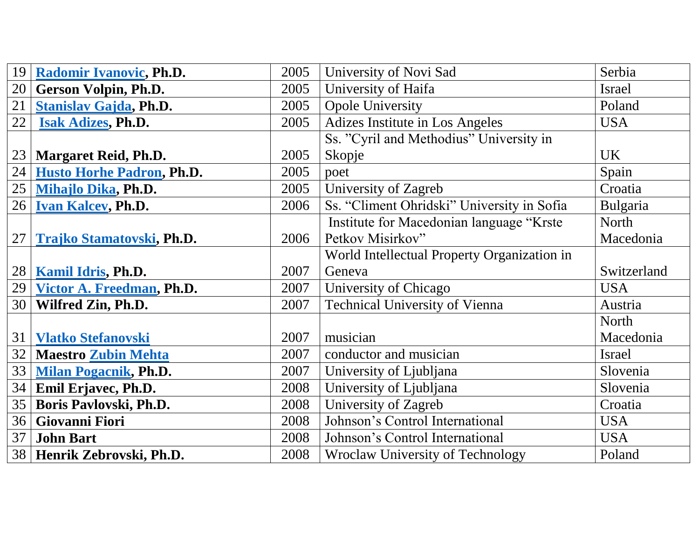|    | 19 Radomir Ivanovic, Ph.D.           | 2005 | University of Novi Sad                      | Serbia      |
|----|--------------------------------------|------|---------------------------------------------|-------------|
| 20 | <b>Gerson Volpin, Ph.D.</b>          | 2005 | University of Haifa                         | Israel      |
| 21 | <b>Stanislav Gajda, Ph.D.</b>        | 2005 | <b>Opole University</b>                     | Poland      |
| 22 | <b>Isak Adizes, Ph.D.</b>            | 2005 | Adizes Institute in Los Angeles             | <b>USA</b>  |
|    |                                      |      | Ss. "Cyril and Methodius" University in     |             |
|    | 23   Margaret Reid, Ph.D.            | 2005 | Skopje                                      | <b>UK</b>   |
|    | 24 Husto Horhe Padron, Ph.D.         | 2005 | poet                                        | Spain       |
|    | 25 Mihajlo Dika, Ph.D.               | 2005 | University of Zagreb                        | Croatia     |
|    | 26   Ivan Kalcev, Ph.D.              | 2006 | Ss. "Climent Ohridski" University in Sofia  | Bulgaria    |
|    |                                      |      | Institute for Macedonian language "Krste    | North       |
|    | 27 Trajko Stamatovski, Ph.D.         | 2006 | Petkov Misirkov"                            | Macedonia   |
|    |                                      |      | World Intellectual Property Organization in |             |
|    | 28   Kamil Idris, Ph.D.              | 2007 | Geneva                                      | Switzerland |
|    | 29 <u>Victor A. Freedman</u> , Ph.D. | 2007 | University of Chicago                       | <b>USA</b>  |
|    | 30   Wilfred Zin, Ph.D.              | 2007 | <b>Technical University of Vienna</b>       | Austria     |
|    |                                      |      |                                             | North       |
|    | 31   Vlatko Stefanovski              | 2007 | musician                                    | Macedonia   |
|    | 32   Maestro Zubin Mehta             | 2007 | conductor and musician                      | Israel      |
|    | 33 Milan Pogacnik, Ph.D.             | 2007 | University of Ljubljana                     | Slovenia    |
|    | 34 Emil Erjavec, Ph.D.               | 2008 | University of Ljubljana                     | Slovenia    |
|    | 35   Boris Pavlovski, Ph.D.          | 2008 | University of Zagreb                        | Croatia     |
| 36 | <b>Giovanni Fiori</b>                | 2008 | Johnson's Control International             | <b>USA</b>  |
| 37 | <b>John Bart</b>                     | 2008 | Johnson's Control International             | <b>USA</b>  |
|    | 38 Henrik Zebrovski, Ph.D.           | 2008 | <b>Wroclaw University of Technology</b>     | Poland      |